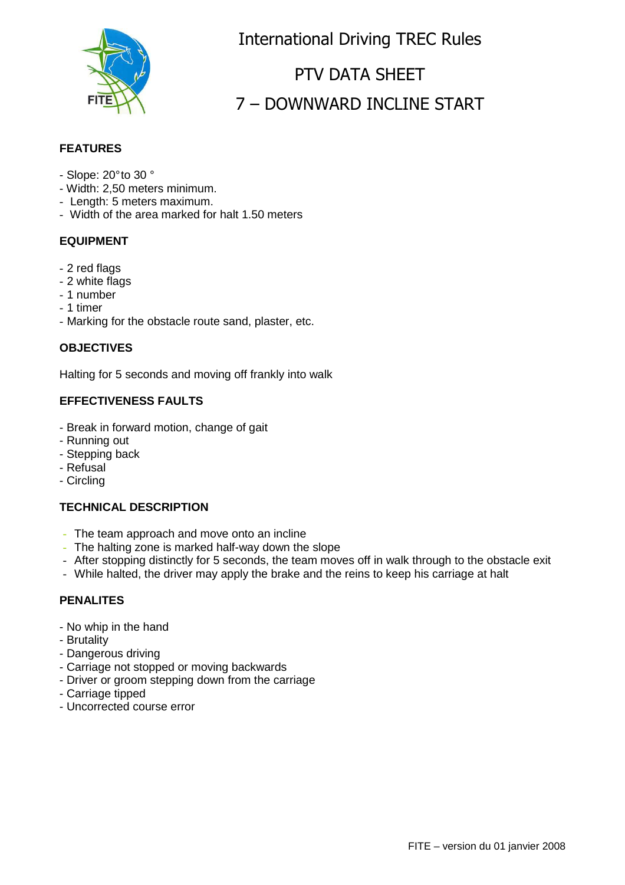

International Driving TREC Rules

# PTV DATA SHEET 7 - DOWNWARD INCLINE START

## **FEATURES**

- Slope: 20° to 30 °
- Width: 2,50 meters minimum.
- Length: 5 meters maximum.
- Width of the area marked for halt 1.50 meters

## **EQUIPMENT**

- 2 red flags
- 2 white flags
- 1 number
- 1 timer
- Marking for the obstacle route sand, plaster, etc.

#### **OBJECTIVES**

Halting for 5 seconds and moving off frankly into walk

## **EFFECTIVENESS FAULTS**

- Break in forward motion, change of gait
- Running out
- Stepping back
- Refusal
- Circling

## **TECHNICAL DESCRIPTION**

- The team approach and move onto an incline
- The halting zone is marked half-way down the slope
- After stopping distinctly for 5 seconds, the team moves off in walk through to the obstacle exit
- While halted, the driver may apply the brake and the reins to keep his carriage at halt

#### **PENALITES**

- No whip in the hand
- Brutality
- Dangerous driving
- Carriage not stopped or moving backwards
- Driver or groom stepping down from the carriage
- Carriage tipped
- Uncorrected course error